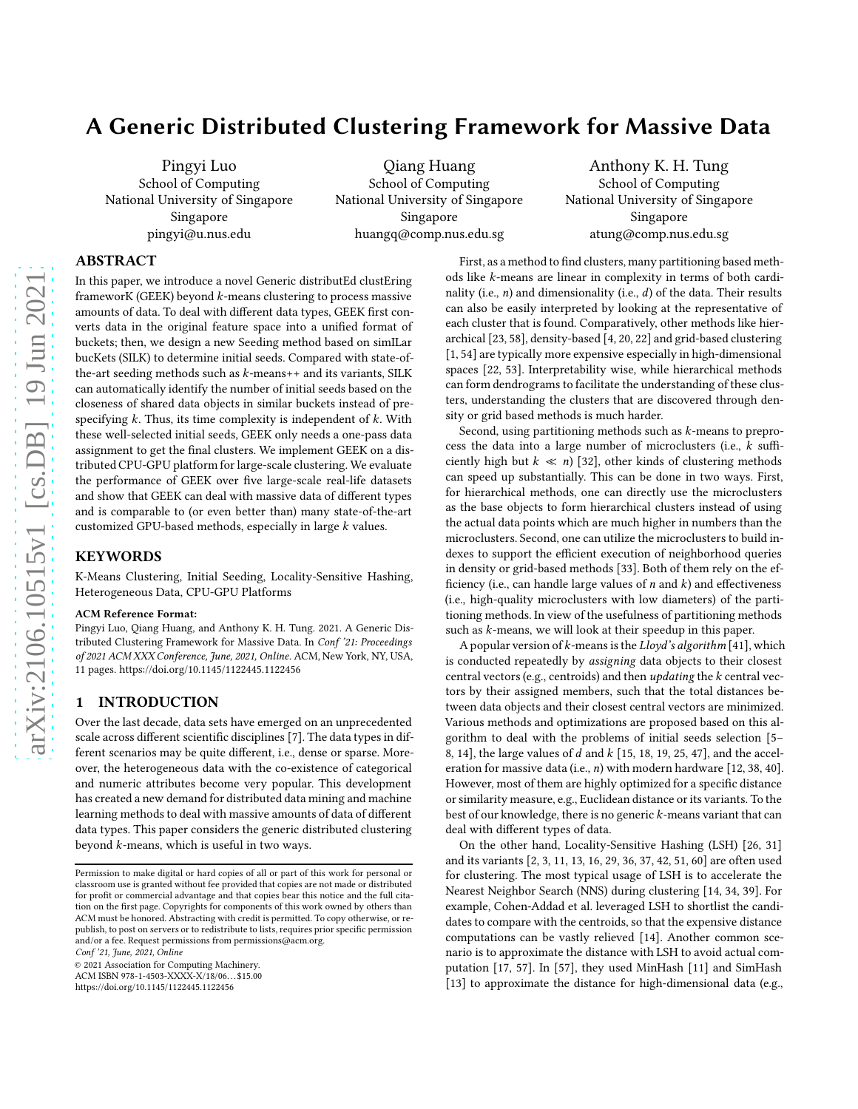# A Generic Distributed Clustering Framework for Massive Data

Pingyi Luo School of Computing National University of Singapore Singapore pingyi@u.nus.edu

Qiang Huang School of Computing National University of Singapore Singapore huangq@comp.nus.edu.sg

Anthony K. H. Tung School of Computing National University of Singapore Singapore atung@comp.nus.edu.sg

# ABSTRACT

In this paper, we introduce a novel Generic distributEd clustEring frameworK (GEEK) beyond  $k$ -means clustering to process massive amounts of data. To deal with different data types, GEEK first converts data in the original feature space into a unified format of buckets; then, we design a new Seeding method based on simILar bucKets (SILK) to determine initial seeds. Compared with state-ofthe-art seeding methods such as  $k$ -means++ and its variants, SILK can automatically identify the number of initial seeds based on the closeness of shared data objects in similar buckets instead of prespecifying  $k$ . Thus, its time complexity is independent of  $k$ . With these well-selected initial seeds, GEEK only needs a one-pass data assignment to get the final clusters. We implement GEEK on a distributed CPU-GPU platform for large-scale clustering. We evaluate the performance of GEEK over five large-scale real-life datasets and show that GEEK can deal with massive data of different types and is comparable to (or even better than) many state-of-the-art customized GPU-based methods, especially in large  $k$  values.

# KEYWORDS

K-Means Clustering, Initial Seeding, Locality-Sensitive Hashing, Heterogeneous Data, CPU-GPU Platforms

#### ACM Reference Format:

Pingyi Luo, Qiang Huang, and Anthony K. H. Tung. 2021. A Generic Distributed Clustering Framework for Massive Data. In Conf '21: Proceedings of 2021 ACM XXX Conference, June, 2021, Online. ACM, New York, NY, USA, [11](#page-10-0) pages.<https://doi.org/10.1145/1122445.1122456>

# 1 INTRODUCTION

Over the last decade, data sets have emerged on an unprecedented scale across different scientific disciplines [\[7\]](#page-9-0). The data types in different scenarios may be quite different, i.e., dense or sparse. Moreover, the heterogeneous data with the co-existence of categorical and numeric attributes become very popular. This development has created a new demand for distributed data mining and machine learning methods to deal with massive amounts of data of different data types. This paper considers the generic distributed clustering beyond  $k$ -means, which is useful in two ways.

Conf '21, June, 2021, Online

© 2021 Association for Computing Machinery. ACM ISBN 978-1-4503-XXXX-X/18/06. . . \$15.00

<https://doi.org/10.1145/1122445.1122456>

First, as a method to find clusters, many partitioning based methods like *k*-means are linear in complexity in terms of both cardinality (i.e.,  $n$ ) and dimensionality (i.e.,  $d$ ) of the data. Their results can also be easily interpreted by looking at the representative of each cluster that is found. Comparatively, other methods like hierarchical [\[23,](#page-9-1) [58\]](#page-10-1), density-based [\[4,](#page-9-2) [20,](#page-9-3) [22\]](#page-9-4) and grid-based clustering [\[1](#page-9-5), [54](#page-10-2)] are typically more expensive especially in high-dimensional spaces [\[22](#page-9-4), [53](#page-10-3)]. Interpretability wise, while hierarchical methods can form dendrograms to facilitate the understanding of these clusters, understanding the clusters that are discovered through density or grid based methods is much harder.

Second, using partitioning methods such as  $k$ -means to preprocess the data into a large number of microclusters (i.e.,  $k$  sufficiently high but  $k \ll n$ ) [\[32\]](#page-9-6), other kinds of clustering methods can speed up substantially. This can be done in two ways. First, for hierarchical methods, one can directly use the microclusters as the base objects to form hierarchical clusters instead of using the actual data points which are much higher in numbers than the microclusters. Second, one can utilize the microclusters to build indexes to support the efficient execution of neighborhood queries in density or grid-based methods [\[33\]](#page-9-7). Both of them rely on the efficiency (i.e., can handle large values of  $n$  and  $k$ ) and effectiveness (i.e., high-quality microclusters with low diameters) of the partitioning methods. In view of the usefulness of partitioning methods such as  $k$ -means, we will look at their speedup in this paper.

A popular version of  $k$ -means is the Lloyd's algorithm [\[41](#page-10-4)], which is conducted repeatedly by assigning data objects to their closest central vectors (e.g., centroids) and then *updating* the  $k$  central vectors by their assigned members, such that the total distances between data objects and their closest central vectors are minimized. Various methods and optimizations are proposed based on this algorithm to deal with the problems of initial seeds selection [\[5](#page-9-8)– [8](#page-9-9), [14\]](#page-9-10), the large values of  $d$  and  $k$  [\[15,](#page-9-11) [18](#page-9-12), [19,](#page-9-13) [25](#page-9-14), [47\]](#page-10-5), and the acceleration for massive data (i.e.,  $n$ ) with modern hardware [\[12](#page-9-15), [38](#page-10-6), [40\]](#page-10-7). However, most of them are highly optimized for a specific distance or similarity measure, e.g., Euclidean distance or its variants. To the best of our knowledge, there is no generic  $k$ -means variant that can deal with different types of data.

On the other hand, Locality-Sensitive Hashing (LSH) [\[26,](#page-9-16) [31\]](#page-9-17) and its variants [\[2](#page-9-18), [3](#page-9-19), [11,](#page-9-20) [13,](#page-9-21) [16](#page-9-22), [29](#page-9-23), [36,](#page-9-24) [37,](#page-9-25) [42](#page-10-8), [51,](#page-10-9) [60\]](#page-10-10) are often used for clustering. The most typical usage of LSH is to accelerate the Nearest Neighbor Search (NNS) during clustering [\[14](#page-9-10), [34,](#page-9-26) [39\]](#page-10-11). For example, Cohen-Addad et al. leveraged LSH to shortlist the candidates to compare with the centroids, so that the expensive distance computations can be vastly relieved [\[14\]](#page-9-10). Another common scenario is to approximate the distance with LSH to avoid actual computation [\[17,](#page-9-27) [57\]](#page-10-12). In [\[57](#page-10-12)], they used MinHash [\[11\]](#page-9-20) and SimHash [\[13\]](#page-9-21) to approximate the distance for high-dimensional data (e.g.,

Permission to make digital or hard copies of all or part of this work for personal or classroom use is granted without fee provided that copies are not made or distributed for profit or commercial advantage and that copies bear this notice and the full citation on the first page. Copyrights for components of this work owned by others than ACM must be honored. Abstracting with credit is permitted. To copy otherwise, or republish, to post on servers or to redistribute to lists, requires prior specific permission and/or a fee. Request permissions from permissions@acm.org.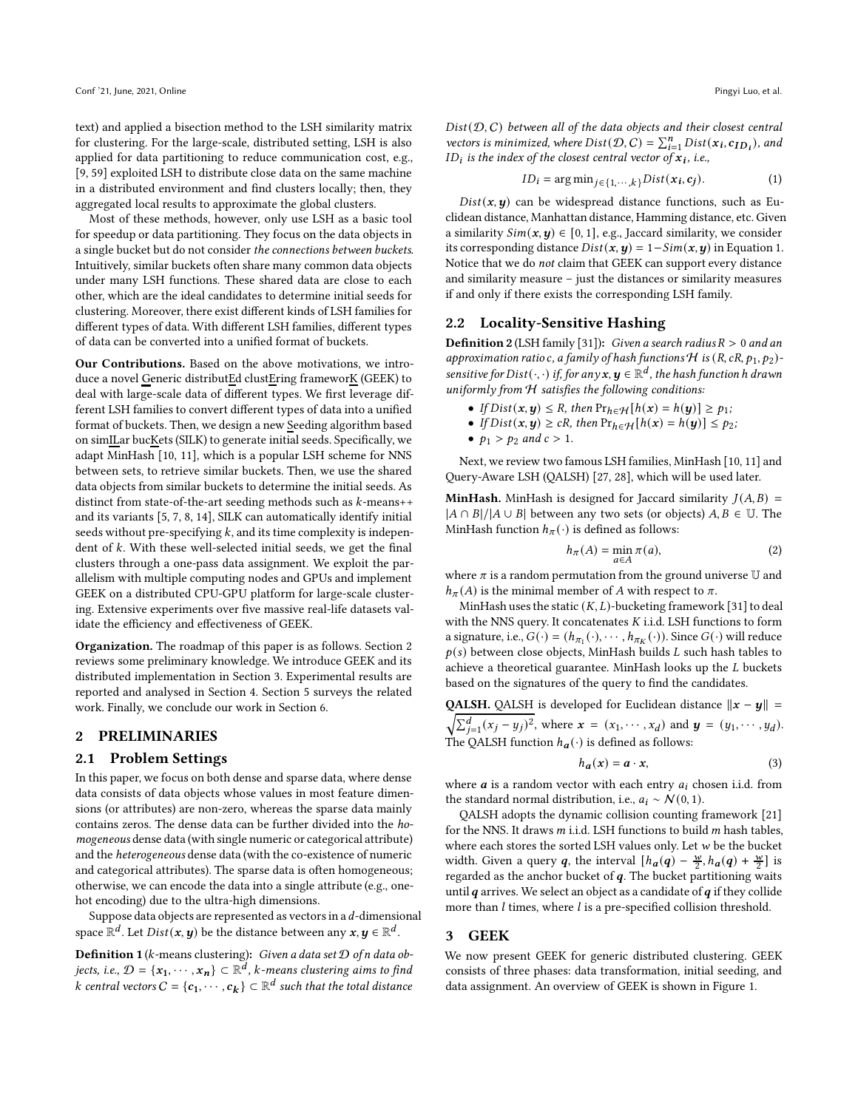text) and applied a bisection method to the LSH similarity matrix for clustering. For the large-scale, distributed setting, LSH is also applied for data partitioning to reduce communication cost, e.g., [\[9](#page-9-28), [59\]](#page-10-13) exploited LSH to distribute close data on the same machine in a distributed environment and find clusters locally; then, they aggregated local results to approximate the global clusters.

Most of these methods, however, only use LSH as a basic tool for speedup or data partitioning. They focus on the data objects in a single bucket but do not consider the connections between buckets. Intuitively, similar buckets often share many common data objects under many LSH functions. These shared data are close to each other, which are the ideal candidates to determine initial seeds for clustering. Moreover, there exist different kinds of LSH families for different types of data. With different LSH families, different types of data can be converted into a unified format of buckets.

Our Contributions. Based on the above motivations, we introduce a novel Generic distributEd clustEring frameworK (GEEK) to deal with large-scale data of different types. We first leverage different LSH families to convert different types of data into a unified format of buckets. Then, we design a new Seeding algorithm based on simILar bucKets (SILK) to generate initial seeds. Specifically, we adapt MinHash [\[10](#page-9-29), [11](#page-9-20)], which is a popular LSH scheme for NNS between sets, to retrieve similar buckets. Then, we use the shared data objects from similar buckets to determine the initial seeds. As distinct from state-of-the-art seeding methods such as  $k$ -means++ and its variants [\[5](#page-9-8), [7,](#page-9-0) [8,](#page-9-9) [14](#page-9-10)], SILK can automatically identify initial seeds without pre-specifying  $k$ , and its time complexity is independent of  $k$ . With these well-selected initial seeds, we get the final clusters through a one-pass data assignment. We exploit the parallelism with multiple computing nodes and GPUs and implement GEEK on a distributed CPU-GPU platform for large-scale clustering. Extensive experiments over five massive real-life datasets validate the efficiency and effectiveness of GEEK.

Organization. The roadmap of this paper is as follows. Section [2](#page-1-0) reviews some preliminary knowledge. We introduce GEEK and its distributed implementation in Section [3.](#page-1-1) Experimental results are reported and analysed in Section [4.](#page-6-0) Section [5](#page-8-0) surveys the related work. Finally, we conclude our work in Section [6.](#page-9-30)

# <span id="page-1-0"></span>2 PRELIMINARIES

#### 2.1 Problem Settings

In this paper, we focus on both dense and sparse data, where dense data consists of data objects whose values in most feature dimensions (or attributes) are non-zero, whereas the sparse data mainly contains zeros. The dense data can be further divided into the homogeneous dense data (with single numeric or categorical attribute) and the heterogeneous dense data (with the co-existence of numeric and categorical attributes). The sparse data is often homogeneous; otherwise, we can encode the data into a single attribute (e.g., onehot encoding) due to the ultra-high dimensions.

Suppose data objects are represented as vectors in a  $d$ -dimensional space  $\mathbb{R}^d.$  Let  $Dist(\pmb{x},\pmb{y})$  be the distance between any  $\pmb{x},\pmb{y}\in\mathbb{R}^d.$ 

**Definition 1** ( $k$ -means clustering): Given a data set  $D$  of n data objects, i.e.,  $\mathcal{D} = \{\mathbf{x_1}, \cdots, \mathbf{x_n}\} \subset \mathbb{R}^d$ , k-means clustering aims to find  $k$  central vectors  $C = \{\boldsymbol{c_1}, \cdots, \boldsymbol{c_k}\} \subset \mathbb{R}^d$  such that the total distance

 $Dist(D, C)$  between all of the data objects and their closest central vectors is minimized, where  $Dist(\mathcal{D}, C) = \sum_{i=1}^{n} Dist(\mathbf{x_i}, \mathbf{c_{ID_i}})$ , and ID $_l$  is the index of the closest central vector of  $\pmb{x_i}$ , i.e.,

<span id="page-1-2"></span>
$$
ID_i = \arg\min_{j \in \{1, \cdots, k\}} Dist(x_i, c_j).
$$
 (1)

 $Dist(x, y)$  can be widespread distance functions, such as Euclidean distance, Manhattan distance, Hamming distance, etc. Given a similarity  $Sim(x, y) \in [0, 1]$ , e.g., Jaccard similarity, we consider its corresponding distance  $Dist(x, y) = 1 - Sim(x, y)$  in Equation [1.](#page-1-2) Notice that we do not claim that GEEK can support every distance and similarity measure – just the distances or similarity measures if and only if there exists the corresponding LSH family.

# 2.2 Locality-Sensitive Hashing

**Definition 2** (LSH family [\[31\]](#page-9-17)): Given a search radius  $R > 0$  and an approximation ratio c, a family of hash functions  $H$  is  $(R, cR, p_1, p_2)$ sensitive for Dist $(\cdot,\cdot)$  if, for any  $\textbf{x},\textbf{y}\in\mathbb{R}^{d}$ , the hash function h drawn uniformly from H satisfies the following conditions:

- If  $Dist(x, y) \leq R$ , then  $Pr_{h \in H}[h(x) = h(y)] \geq p_1$ ;
- If  $Dist(x, y) \ge cR$ , then  $Pr_{h \in H}[h(x) = h(y)] \le p_2$ ;
- $p_1 > p_2$  and  $c > 1$ .

Next, we review two famous LSH families, MinHash [\[10,](#page-9-29) [11\]](#page-9-20) and Query-Aware LSH (QALSH) [\[27,](#page-9-31) [28](#page-9-32)], which will be used later.

**MinHash.** MinHash is designed for Jaccard similarity  $J(A, B)$  =  $|A \cap B|/|A \cup B|$  between any two sets (or objects)  $A, B \in \mathbb{U}$ . The MinHash function  $h_{\pi}(\cdot)$  is defined as follows:

$$
h_{\pi}(A) = \min_{a \in A} \pi(a),\tag{2}
$$

where  $\pi$  is a random permutation from the ground universe  $U$  and  $h_{\pi}(A)$  is the minimal member of A with respect to  $\pi$ .

MinHash uses the static  $(K, L)$ -bucketing framework [\[31\]](#page-9-17) to deal with the NNS query. It concatenates  $K$  i.i.d. LSH functions to form a signature, i.e.,  $G(\cdot) = (h_{\pi_1}(\cdot), \cdots, h_{\pi_K}(\cdot))$ . Since  $G(\cdot)$  will reduce  $p(s)$  between close objects, MinHash builds  $L$  such hash tables to achieve a theoretical guarantee. MinHash looks up the  $L$  buckets based on the signatures of the query to find the candidates.

QALSH. QALSH is developed for Euclidean distance  $\|x - y\|$  =  $\sqrt{\sum_{j=1}^{d} (x_j - y_j)^2}$ , where  $\mathbf{x} = (x_1, \dots, x_d)$  and  $\mathbf{y} = (y_1, \dots, y_d)$ . The QALSH function  $h_{a}(\cdot)$  is defined as follows:

$$
h_a(x) = a \cdot x,\tag{3}
$$

where  $a$  is a random vector with each entry  $a_i$  chosen i.i.d. from the standard normal distribution, i.e.,  $a_i \sim \mathcal{N}(0, 1)$ .

QALSH adopts the dynamic collision counting framework [\[21](#page-9-33)] for the NNS. It draws  $m$  i.i.d. LSH functions to build  $m$  hash tables, where each stores the sorted LSH values only. Let  $w$  be the bucket width. Given a query q, the interval  $[h_a(q) - \frac{w}{2}, h_a(q) + \frac{w}{2}]$  is regarded as the anchor bucket of  $q$ . The bucket partitioning waits until  $q$  arrives. We select an object as a candidate of  $q$  if they collide more than  $l$  times, where  $l$  is a pre-specified collision threshold.

## <span id="page-1-1"></span>3 GEEK

We now present GEEK for generic distributed clustering. GEEK consists of three phases: data transformation, initial seeding, and data assignment. An overview of GEEK is shown in Figure [1.](#page-2-0)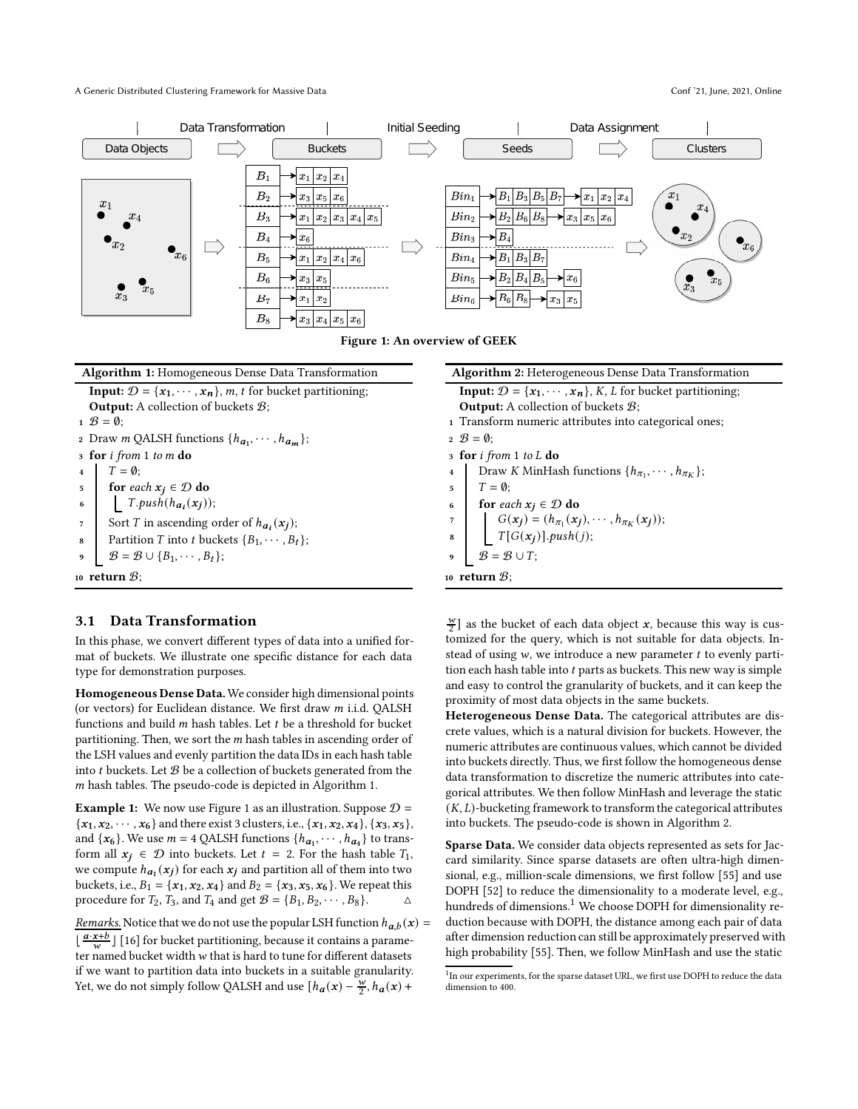<span id="page-2-0"></span>A Generic Distributed Clustering Framework for Massive Data Conf '21, June, 2021, Online



Figure 1: An overview of GEEK

<span id="page-2-1"></span>

| <b>Algorithm 1:</b> Homogeneous Dense Data Transformation                                        |
|--------------------------------------------------------------------------------------------------|
| <b>Input:</b> $\mathcal{D} = \{x_1, \dots, x_n\}$ , <i>m</i> , <i>t</i> for bucket partitioning; |
| <b>Output:</b> A collection of buckets $\mathcal{B}$ ;                                           |
| $\mathfrak{g} = \mathfrak{g}$ :                                                                  |
| 2 Draw <i>m</i> QALSH functions $\{h_{a_1}, \cdots, h_{a_m}\};$                                  |
| 3 for <i>i</i> from 1 to m do                                                                    |
| $T = \emptyset;$                                                                                 |
| for each $x_j \in \mathcal{D}$ do<br>5                                                           |
| $T.push(h_{a_i}(x_j));$<br>$6\phantom{1}6$                                                       |
| Sort T in ascending order of $h_{a_i}(x_i)$ ;<br>7                                               |
| Partition T into t buckets $\{B_1, \cdots, B_t\}$ ;<br>8                                         |
| $B = B \cup \{B_1, \cdots, B_t\};$<br>9                                                          |
| 10 return $\mathcal{B}$ :                                                                        |

#### 3.1 Data Transformation

In this phase, we convert different types of data into a unified format of buckets. We illustrate one specific distance for each data type for demonstration purposes.

Homogeneous Dense Data.We consider high dimensional points (or vectors) for Euclidean distance. We first draw  $m$  i.i.d. QALSH functions and build  $m$  hash tables. Let  $t$  be a threshold for bucket partitioning. Then, we sort the  $m$  hash tables in ascending order of the LSH values and evenly partition the data IDs in each hash table into  $t$  buckets. Let  $B$  be a collection of buckets generated from the  $m$  hash tables. The pseudo-code is depicted in Algorithm [1.](#page-2-1)

**Example [1](#page-2-0):** We now use Figure 1 as an illustration. Suppose  $D =$  ${x_1, x_2, \dots, x_6}$  and there exist 3 clusters, i.e.,  ${x_1, x_2, x_4}, {x_3, x_5}$ , and  $\{x_6\}$ . We use  $m = 4$  QALSH functions  $\{h_{a_1}, \dots, h_{a_4}\}$  to transform all  $x_i \in \mathcal{D}$  into buckets. Let  $t = 2$ . For the hash table  $T_1$ , we compute  $h_{a_1}(x_j)$  for each  $x_j$  and partition all of them into two buckets, i.e.,  $B_1 = \{x_1, x_2, x_4\}$  and  $B_2 = \{x_3, x_5, x_6\}$ . We repeat this procedure for  $T_2$ ,  $T_3$ , and  $T_4$  and get  $\mathcal{B} = \{B_1, B_2, \cdots, B_8\}.$ 

<u>Remarks.</u> Notice that we do not use the popular LSH function  $h_{a,b}(x) =$  $\lfloor \frac{a \cdot x + b}{w} \rfloor$  [\[16\]](#page-9-22) for bucket partitioning, because it contains a parameter named bucket width  $w$  that is hard to tune for different datasets if we want to partition data into buckets in a suitable granularity. Yet, we do not simply follow QALSH and use  $[h_{a}(x) - \frac{w}{2}, h_{a}(x) +$ 

<span id="page-2-2"></span>

| <b>Algorithm 2:</b> Heterogeneous Dense Data Transformation                                                                                                 |
|-------------------------------------------------------------------------------------------------------------------------------------------------------------|
| <b>Input:</b> $\mathcal{D} = \{x_1, \dots, x_n\}$ , <i>K</i> , <i>L</i> for bucket partitioning;                                                            |
| <b>Output:</b> A collection of buckets $\mathcal{B}$ ;                                                                                                      |
| 1 Transform numeric attributes into categorical ones;                                                                                                       |
| $2 \mathcal{B} = \emptyset$ :                                                                                                                               |
| $\sigma$ for <i>i</i> from 1 to L do                                                                                                                        |
| Draw <i>K</i> MinHash functions $\{h_{\pi_1}, \dots, h_{\pi_K}\};$<br>$\overline{\mathbf{4}}$                                                               |
| $T = \emptyset$ :<br>5                                                                                                                                      |
| <b>for</b> each $x_j \in \mathcal{D}$ do<br>6                                                                                                               |
| $\overline{7}$                                                                                                                                              |
| $\label{eq:G} \begin{cases} G(\mathbf{x}_j) = (h_{\pi_1}(\mathbf{x}_j), \cdots, h_{\pi_K}(\mathbf{x}_j)); \\ T[G(\mathbf{x}_j)], push(j); \end{cases}$<br>8 |
| $\mathcal{B} = \mathcal{B} \cup T;$<br>$\boldsymbol{9}$                                                                                                     |
| 10 return $\mathcal{B}$ :                                                                                                                                   |

 $\frac{w}{2}$ ] as the bucket of each data object  $x$ , because this way is customized for the query, which is not suitable for data objects. Instead of using  $w$ , we introduce a new parameter  $t$  to evenly partition each hash table into  $t$  parts as buckets. This new way is simple and easy to control the granularity of buckets, and it can keep the proximity of most data objects in the same buckets.

Heterogeneous Dense Data. The categorical attributes are discrete values, which is a natural division for buckets. However, the numeric attributes are continuous values, which cannot be divided into buckets directly. Thus, we first follow the homogeneous dense data transformation to discretize the numeric attributes into categorical attributes. We then follow MinHash and leverage the static  $(K, L)$ -bucketing framework to transform the categorical attributes into buckets. The pseudo-code is shown in Algorithm [2.](#page-2-2)

Sparse Data. We consider data objects represented as sets for Jaccard similarity. Since sparse datasets are often ultra-high dimensional, e.g., million-scale dimensions, we first follow [\[55](#page-10-14)] and use DOPH [\[52\]](#page-10-15) to reduce the dimensionality to a moderate level, e.g., hundreds of dimensions.<sup>[1](#page-2-3)</sup> We choose DOPH for dimensionality reduction because with DOPH, the distance among each pair of data after dimension reduction can still be approximately preserved with high probability [\[55](#page-10-14)]. Then, we follow MinHash and use the static

<span id="page-2-3"></span><sup>&</sup>lt;sup>1</sup>In our experiments, for the sparse dataset URL, we first use DOPH to reduce the data dimension to 400.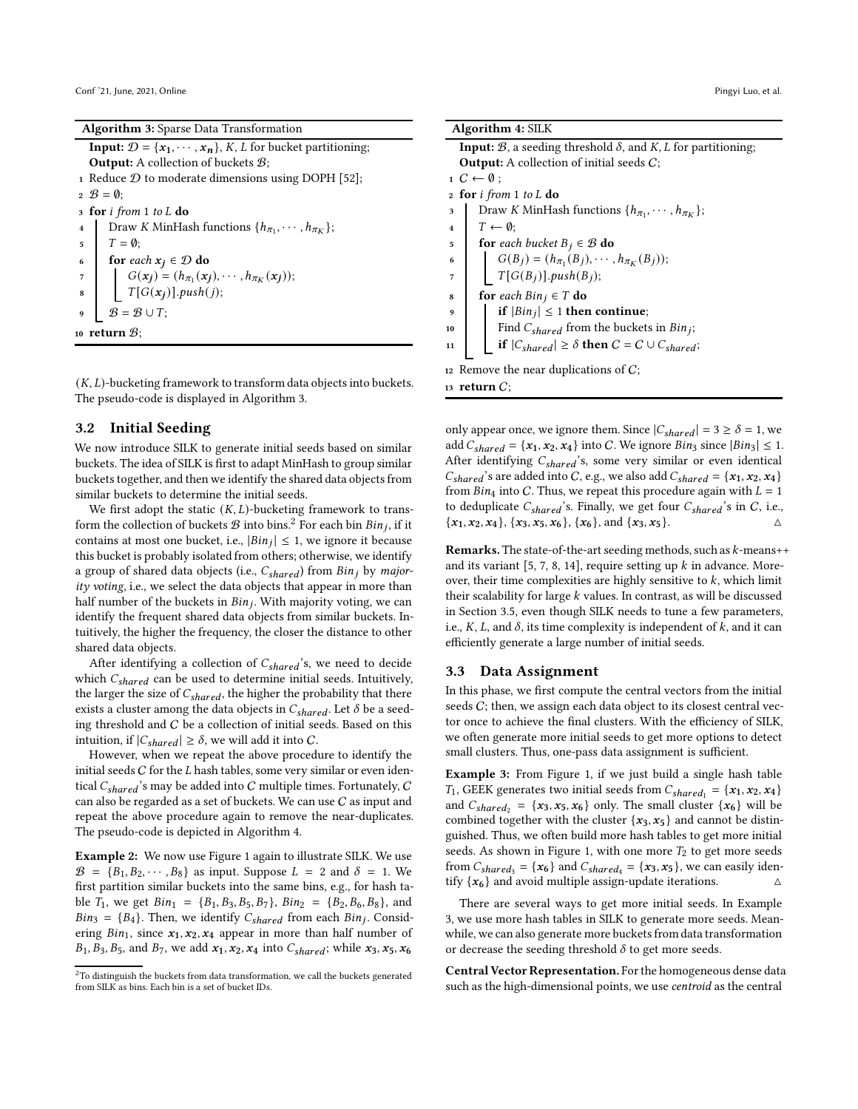<span id="page-3-0"></span>

|  |  |  | <b>Algorithm 3:</b> Sparse Data Transformation |
|--|--|--|------------------------------------------------|
|--|--|--|------------------------------------------------|

| <b>Input:</b> $\mathcal{D} = \{x_1, \dots, x_n\}$ , K, L for bucket partitioning;                                  |
|--------------------------------------------------------------------------------------------------------------------|
| <b>Output:</b> A collection of buckets $\mathcal{B}$ ;                                                             |
| 1 Reduce $D$ to moderate dimensions using DOPH [52];                                                               |
| $2 \mathcal{B} = \mathbf{0}$ :                                                                                     |
| $\sigma$ for <i>i</i> from 1 to L do                                                                               |
| Draw K MinHash functions $\{h_{\pi_1}, \cdots, h_{\pi_K}\}\;$                                                      |
| $T = \emptyset$<br>5                                                                                               |
| for each $x_j \in \mathcal{D}$ do<br>6                                                                             |
| $7$                                                                                                                |
| $\begin{array}{ll} & G(x_j)=(h_{\pi_1}(x_j),\cdots,h_{\pi_K}(x_j));\\ & T[G(x_j)], push(j); \end{array}$<br>$\bf8$ |
| $B = B \cup T;$<br>9                                                                                               |
| 10 $\,$ return $\mathcal{B}$ :                                                                                     |

 $(K, L)$ -bucketing framework to transform data objects into buckets. The pseudo-code is displayed in Algorithm [3.](#page-3-0)

#### 3.2 Initial Seeding

We now introduce SILK to generate initial seeds based on similar buckets. The idea of SILK is first to adapt MinHash to group similar buckets together, and then we identify the shared data objects from similar buckets to determine the initial seeds.

We first adopt the static  $(K, L)$ -bucketing framework to transform the collection of buckets  $\mathcal B$  into bins. $^2$  $^2$  For each bin  $Bin_j,$  if it contains at most one bucket, i.e.,  $|Bin_j| \leq 1$ , we ignore it because this bucket is probably isolated from others; otherwise, we identify a group of shared data objects (i.e.,  $C_{shared}$ ) from Bin<sub>j</sub> by majority voting, i.e., we select the data objects that appear in more than half number of the buckets in  $Bin_j$ . With majority voting, we can identify the frequent shared data objects from similar buckets. Intuitively, the higher the frequency, the closer the distance to other shared data objects.

After identifying a collection of  $C_{shared}$ 's, we need to decide which  $C_{shared}$  can be used to determine initial seeds. Intuitively, the larger the size of  $C_{shared}$ , the higher the probability that there exists a cluster among the data objects in  $C_{shared}$ . Let  $\delta$  be a seeding threshold and C be a collection of initial seeds. Based on this intuition, if  $|C_{shared}| \ge \delta$ , we will add it into C.

However, when we repeat the above procedure to identify the initial seeds  $C$  for the  $L$  hash tables, some very similar or even identical  $C_{shared}$ 's may be added into C multiple times. Fortunately, C can also be regarded as a set of buckets. We can use C as input and repeat the above procedure again to remove the near-duplicates. The pseudo-code is depicted in Algorithm [4.](#page-3-2)

Example 2: We now use Figure [1](#page-2-0) again to illustrate SILK. We use  $\mathcal{B} = \{B_1, B_2, \dots, B_8\}$  as input. Suppose  $L = 2$  and  $\delta = 1$ . We first partition similar buckets into the same bins, e.g., for hash table  $T_1$ , we get  $Bin_1 = \{B_1, B_3, B_5, B_7\}$ ,  $Bin_2 = \{B_2, B_6, B_8\}$ , and  $Bin_3 = \{B_4\}$ . Then, we identify  $C_{shared}$  from each  $Bin_j$ . Considering  $Bin_1$ , since  $x_1, x_2, x_4$  appear in more than half number of  $B_1, B_3, B_5$ , and  $B_7$ , we add  $x_1, x_2, x_4$  into  $C_{shared}$ ; while  $x_3, x_5, x_6$ 

<span id="page-3-2"></span>

| <b>Algorithm 4: SILK</b>                                                                         |
|--------------------------------------------------------------------------------------------------|
| <b>Input:</b> $B$ , a seeding threshold $\delta$ , and $K$ , $L$ for partitioning;               |
| <b>Output:</b> A collection of initial seeds $C$ ;                                               |
| $1\ C \leftarrow \emptyset$ :                                                                    |
| 2 for i from 1 to L do                                                                           |
| Draw K MinHash functions $\{h_{\pi_1}, \cdots, h_{\pi_K}\};$<br>3                                |
| $T \leftarrow \emptyset$<br>$\overline{\bf{4}}$                                                  |
| <b>for</b> each bucket $B_i \in \mathcal{B}$ <b>do</b><br>5                                      |
| $G(B_j) = (h_{\pi_1}(B_j), \cdots, h_{\pi_K}(B_j));$<br>$T[G(B_j)]$ . <i>push</i> $(B_j)$ ;<br>6 |
| 7                                                                                                |
| for each $Bin_j \in T$ do<br>8                                                                   |
| if $ Bin_j  \leq 1$ then continue;<br>9                                                          |
| Find $C_{shared}$ from the buckets in $Bin_j;$<br>10                                             |
| if $ C_{shared}  \ge \delta$ then $C = C \cup C_{shared}$ ;<br>11                                |
| 12 Remove the near duplications of $C$ ;                                                         |
| 13 return $C$ ;                                                                                  |

only appear once, we ignore them. Since  $|C_{shared}| = 3 \ge \delta = 1$ , we add  $C_{shared} = \{x_1, x_2, x_4\}$  into C. We ignore  $Bin_3$  since  $|Bin_3| \leq 1$ . After identifying  $C_{shared}$ 's, some very similar or even identical  $C_{shared}$ 's are added into C, e.g., we also add  $C_{shared} = \{x_1, x_2, x_4\}$ from  $Bin_4$  into C. Thus, we repeat this procedure again with  $L = 1$ to deduplicate  $C_{shared}$ 's. Finally, we get four  $C_{shared}$ 's in C, i.e.,  ${x_1, x_2, x_4}, {x_3, x_5, x_6}, {x_6, x_6}, \text{and } {x_3, x_5}.$ 

**Remarks.** The state-of-the-art seeding methods, such as  $k$ -means++ and its variant [\[5](#page-9-8), [7,](#page-9-0) [8](#page-9-9), [14\]](#page-9-10), require setting up  $k$  in advance. Moreover, their time complexities are highly sensitive to  $k$ , which limit their scalability for large  $k$  values. In contrast, as will be discussed in Section [3.5,](#page-5-0) even though SILK needs to tune a few parameters, i.e.,  $K$ ,  $L$ , and  $\delta$ , its time complexity is independent of  $k$ , and it can efficiently generate a large number of initial seeds.

#### 3.3 Data Assignment

In this phase, we first compute the central vectors from the initial seeds  $C$ ; then, we assign each data object to its closest central vector once to achieve the final clusters. With the efficiency of SILK, we often generate more initial seeds to get more options to detect small clusters. Thus, one-pass data assignment is sufficient.

<span id="page-3-3"></span>**Example 3:** From Figure [1,](#page-2-0) if we just build a single hash table  $T_1$ , GEEK generates two initial seeds from  $C_{shared_1} = \{x_1, x_2, x_4\}$ and  $C_{shared_2} = \{x_3, x_5, x_6\}$  only. The small cluster  $\{x_6\}$  will be combined together with the cluster  $\{x_3, x_5\}$  and cannot be distinguished. Thus, we often build more hash tables to get more initial seeds. As shown in Figure [1,](#page-2-0) with one more  $T_2$  to get more seeds from  $C_{shared_3} = \{x_6\}$  and  $C_{shared_4} = \{x_3, x_5\}$ , we can easily identify  $\{x_6\}$  and avoid multiple assign-update iterations.  $\Delta$ 

There are several ways to get more initial seeds. In Example [3,](#page-3-3) we use more hash tables in SILK to generate more seeds. Meanwhile, we can also generate more buckets from data transformation or decrease the seeding threshold  $\delta$  to get more seeds.

Central Vector Representation. For the homogeneous dense data such as the high-dimensional points, we use centroid as the central

<span id="page-3-1"></span><sup>&</sup>lt;sup>2</sup>To distinguish the buckets from data transformation, we call the buckets generated from SILK as bins. Each bin is a set of bucket IDs.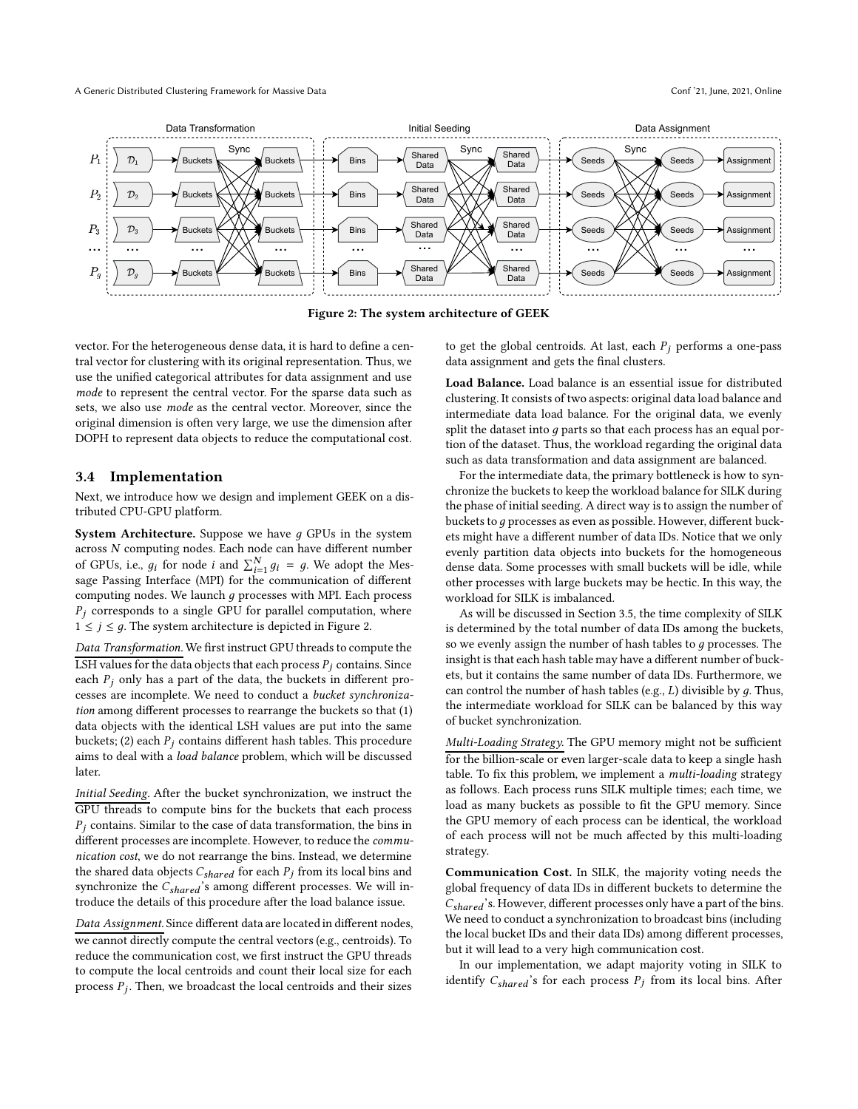<span id="page-4-0"></span>

Figure 2: The system architecture of GEEK

vector. For the heterogeneous dense data, it is hard to define a central vector for clustering with its original representation. Thus, we use the unified categorical attributes for data assignment and use mode to represent the central vector. For the sparse data such as sets, we also use mode as the central vector. Moreover, since the original dimension is often very large, we use the dimension after DOPH to represent data objects to reduce the computational cost.

#### 3.4 Implementation

Next, we introduce how we design and implement GEEK on a distributed CPU-GPU platform.

**System Architecture.** Suppose we have  $q$  GPUs in the system across N computing nodes. Each node can have different number of GPUs, i.e.,  $g_i$  for node  $i$  and  $\sum_{i=1}^{N} g_i = g$ . We adopt the Message Passing Interface (MPI) for the communication of different computing nodes. We launch  $q$  processes with MPI. Each process  $P_j$  corresponds to a single GPU for parallel computation, where  $1 \leq j \leq g$ . The system architecture is depicted in Figure [2.](#page-4-0)

Data Transformation. We first instruct GPU threads to compute the LSH values for the data objects that each process  $P_j$  contains. Since each  $P_i$  only has a part of the data, the buckets in different processes are incomplete. We need to conduct a bucket synchronization among different processes to rearrange the buckets so that (1) data objects with the identical LSH values are put into the same buckets; (2) each  $P_i$  contains different hash tables. This procedure aims to deal with a load balance problem, which will be discussed later.

Initial Seeding. After the bucket synchronization, we instruct the GPU threads to compute bins for the buckets that each process  $P_i$  contains. Similar to the case of data transformation, the bins in different processes are incomplete. However, to reduce the communication cost, we do not rearrange the bins. Instead, we determine the shared data objects  $C_{shared}$  for each  $P_j$  from its local bins and synchronize the  $C_{shared}$ 's among different processes. We will introduce the details of this procedure after the load balance issue.

Data Assignment. Since different data are located in different nodes, we cannot directly compute the central vectors (e.g., centroids). To reduce the communication cost, we first instruct the GPU threads to compute the local centroids and count their local size for each process  $P_j$ . Then, we broadcast the local centroids and their sizes to get the global centroids. At last, each  $P_i$  performs a one-pass data assignment and gets the final clusters.

Load Balance. Load balance is an essential issue for distributed clustering. It consists of two aspects: original data load balance and intermediate data load balance. For the original data, we evenly split the dataset into  $q$  parts so that each process has an equal portion of the dataset. Thus, the workload regarding the original data such as data transformation and data assignment are balanced.

For the intermediate data, the primary bottleneck is how to synchronize the buckets to keep the workload balance for SILK during the phase of initial seeding. A direct way is to assign the number of buckets to q processes as even as possible. However, different buckets might have a different number of data IDs. Notice that we only evenly partition data objects into buckets for the homogeneous dense data. Some processes with small buckets will be idle, while other processes with large buckets may be hectic. In this way, the workload for SILK is imbalanced.

As will be discussed in Section [3.5,](#page-5-0) the time complexity of SILK is determined by the total number of data IDs among the buckets, so we evenly assign the number of hash tables to  $q$  processes. The insight is that each hash table may have a different number of buckets, but it contains the same number of data IDs. Furthermore, we can control the number of hash tables (e.g.,  $L$ ) divisible by  $q$ . Thus, the intermediate workload for SILK can be balanced by this way of bucket synchronization.

Multi-Loading Strategy. The GPU memory might not be sufficient for the billion-scale or even larger-scale data to keep a single hash table. To fix this problem, we implement a multi-loading strategy as follows. Each process runs SILK multiple times; each time, we load as many buckets as possible to fit the GPU memory. Since the GPU memory of each process can be identical, the workload of each process will not be much affected by this multi-loading strategy.

Communication Cost. In SILK, the majority voting needs the global frequency of data IDs in different buckets to determine the  $C_{shared}$ 's. However, different processes only have a part of the bins. We need to conduct a synchronization to broadcast bins (including the local bucket IDs and their data IDs) among different processes, but it will lead to a very high communication cost.

In our implementation, we adapt majority voting in SILK to identify  $C_{shared}$ 's for each process  $P_j$  from its local bins. After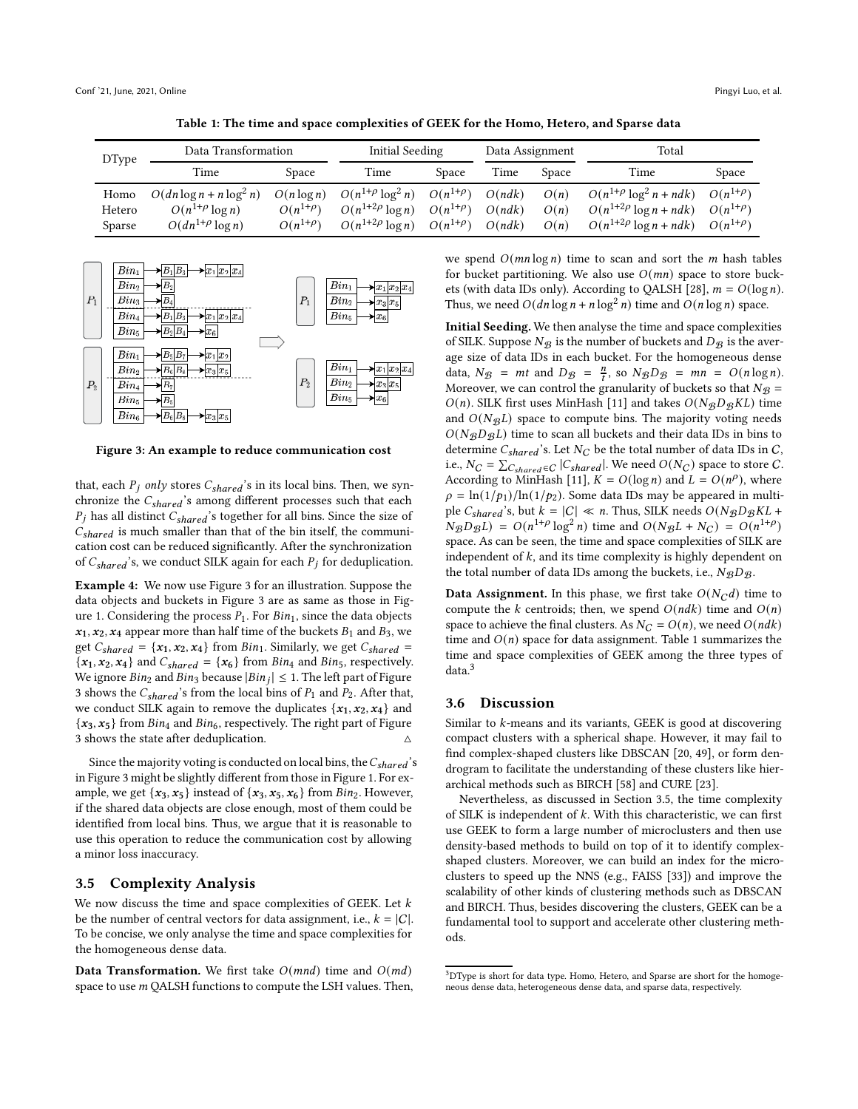Table 1: The time and space complexities of GEEK for the Homo, Hetero, and Sparse data

<span id="page-5-2"></span>

| <b>DType</b>   | Data Transformation                                   |                                  | Initial Seeding                                    |                                    | Data Assignment  |              | Total                                                           |                                    |
|----------------|-------------------------------------------------------|----------------------------------|----------------------------------------------------|------------------------------------|------------------|--------------|-----------------------------------------------------------------|------------------------------------|
|                | Time                                                  | Space                            | Time                                               | Space                              | Time             | Space        | Time                                                            | Space                              |
| Homo<br>Hetero | $O(dn \log n + n \log^2 n)$<br>$O(n^{1+\rho} \log n)$ | $O(n \log n)$<br>$O(n^{1+\rho})$ | $O(n^{1+\rho}\log^2 n)$<br>$O(n^{1+2\rho} \log n)$ | $O(n^{1+\rho})$<br>$O(n^{1+\rho})$ | O(ndk)<br>O(ndk) | O(n)<br>O(n) | $O(n^{1+\rho} \log^2 n + ndk)$<br>$O(n^{1+2\rho} \log n + ndk)$ | $O(n^{1+\rho})$<br>$O(n^{1+\rho})$ |
| Sparse         | $O(dn^{1+\rho}\log n)$                                | $O(n^{1+\rho})$                  | $O(n^{1+2\rho} \log n)$                            | $O(n^{1+\rho})$                    | O(ndk)           | O(n)         | $O(n^{1+2\rho} \log n + ndk)$                                   | $O(n^{1+\rho})$                    |

<span id="page-5-1"></span>

Figure 3: An example to reduce communication cost

that, each  $P_j$  only stores  $C_{shared}$ 's in its local bins. Then, we synchronize the  $C_{shared}$ 's among different processes such that each  $P_j$  has all distinct  $C_{shared}$ 's together for all bins. Since the size of  $C_{shared}$  is much smaller than that of the bin itself, the communication cost can be reduced significantly. After the synchronization of  $C_{shared}$ 's, we conduct SILK again for each  $P_j$  for deduplication.

Example 4: We now use Figure [3](#page-5-1) for an illustration. Suppose the data objects and buckets in Figure [3](#page-5-1) are as same as those in Fig-ure [1.](#page-2-0) Considering the process  $P_1$ . For  $Bin_1$ , since the data objects  $x_1, x_2, x_4$  appear more than half time of the buckets  $B_1$  and  $B_3$ , we get  $C_{shared} = \{x_1, x_2, x_4\}$  from  $Bin_1$ . Similarly, we get  $C_{shared}$  ${x_1, x_2, x_4}$  and  $C_{shared} = {x_6}$  from  $Bin_4$  and  $Bin_5$ , respectively. We ignore  $Bin_2$  and  $Bin_3$  because  $|Bin_j| \leq 1$ . The left part of Figure [3](#page-5-1) shows the  $C_{shared}$ 's from the local bins of  $P_1$  and  $P_2$ . After that, we conduct SILK again to remove the duplicates  $\{x_1, x_2, x_4\}$  and  ${x_3, x_5}$  from  $Bin_4$  and  $Bin_6$ , respectively. The right part of Figure [3](#page-5-1) shows the state after deduplication.

Since the majority voting is conducted on local bins, the  $C_{shared}$ 's in Figure [3](#page-5-1) might be slightly different from those in Figure [1.](#page-2-0) For example, we get  $\{x_3, x_5\}$  instead of  $\{x_3, x_5, x_6\}$  from  $Bin_2$ . However, if the shared data objects are close enough, most of them could be identified from local bins. Thus, we argue that it is reasonable to use this operation to reduce the communication cost by allowing a minor loss inaccuracy.

# <span id="page-5-0"></span>3.5 Complexity Analysis

We now discuss the time and space complexities of GEEK. Let  $k$ be the number of central vectors for data assignment, i.e.,  $k = |C|$ . To be concise, we only analyse the time and space complexities for the homogeneous dense data.

Data Transformation. We first take  $O(mnd)$  time and  $O(md)$ space to use  $m$  QALSH functions to compute the LSH values. Then, we spend  $O(mn \log n)$  time to scan and sort the *m* hash tables for bucket partitioning. We also use  $O(mn)$  space to store buck-ets (with data IDs only). According to QALSH [\[28\]](#page-9-32),  $m = O(\log n)$ . Thus, we need  $O(dn \log n + n \log^2 n)$  time and  $O(n \log n)$  space.

Initial Seeding. We then analyse the time and space complexities of SILK. Suppose  $N_{\mathcal{B}}$  is the number of buckets and  $D_{\mathcal{B}}$  is the average size of data IDs in each bucket. For the homogeneous dense data,  $N_{\mathcal{B}} = mt$  and  $D_{\mathcal{B}} = \frac{n}{t}$ , so  $N_{\mathcal{B}}D_{\mathcal{B}} = mn = O(n \log n)$ . Moreover, we can control the granularity of buckets so that  $N_{\mathcal{B}} =$  $O(n)$ . SILK first uses MinHash [\[11\]](#page-9-20) and takes  $O(N_BD_BKL)$  time and  $O(N_{\mathcal{B}}L)$  space to compute bins. The majority voting needs  $O(N_B D_B L)$  time to scan all buckets and their data IDs in bins to determine  $C_{shared}$ 's. Let  $N_C$  be the total number of data IDs in C, i.e.,  $N_C = \sum_{C_{shared} \in C} |C_{shared}|$ . We need  $O(N_C)$  space to store  $C$ . According to MinHash [\[11\]](#page-9-20),  $K = O(\log n)$  and  $L = O(n^{\rho})$ , where  $\rho = \ln(1/p_1)/\ln(1/p_2)$ . Some data IDs may be appeared in multiple  $C_{shared}$ 's, but  $k = |C| \ll n$ . Thus, SILK needs  $O(NgDgKL +$  $N_{\mathcal{B}}D_{\mathcal{B}}L$  =  $O(n^{1+\rho}\log^2 n)$  time and  $O(N_{\mathcal{B}}L + N_C) = O(n^{1+\rho})$ space. As can be seen, the time and space complexities of SILK are independent of  $k$ , and its time complexity is highly dependent on the total number of data IDs among the buckets, i.e.,  $N_{\mathcal{B}}D_{\mathcal{B}}$ .

**Data Assignment.** In this phase, we first take  $O(N_C d)$  time to compute the  $k$  centroids; then, we spend  $O(ndk)$  time and  $O(n)$ space to achieve the final clusters. As  $N_C = O(n)$ , we need  $O(ndk)$ time and  $O(n)$  space for data assignment. Table [1](#page-5-2) summarizes the time and space complexities of GEEK among the three types of data.[3](#page-5-3)

#### 3.6 Discussion

Similar to  $k$ -means and its variants, GEEK is good at discovering compact clusters with a spherical shape. However, it may fail to find complex-shaped clusters like DBSCAN [\[20](#page-9-3), [49\]](#page-10-16), or form dendrogram to facilitate the understanding of these clusters like hierarchical methods such as BIRCH [\[58\]](#page-10-1) and CURE [\[23\]](#page-9-1).

Nevertheless, as discussed in Section [3.5,](#page-5-0) the time complexity of SILK is independent of  $k$ . With this characteristic, we can first use GEEK to form a large number of microclusters and then use density-based methods to build on top of it to identify complexshaped clusters. Moreover, we can build an index for the microclusters to speed up the NNS (e.g., FAISS [\[33\]](#page-9-7)) and improve the scalability of other kinds of clustering methods such as DBSCAN and BIRCH. Thus, besides discovering the clusters, GEEK can be a fundamental tool to support and accelerate other clustering methods.

<span id="page-5-3"></span><sup>&</sup>lt;sup>3</sup>DType is short for data type. Homo, Hetero, and Sparse are short for the homogeneous dense data, heterogeneous dense data, and sparse data, respectively.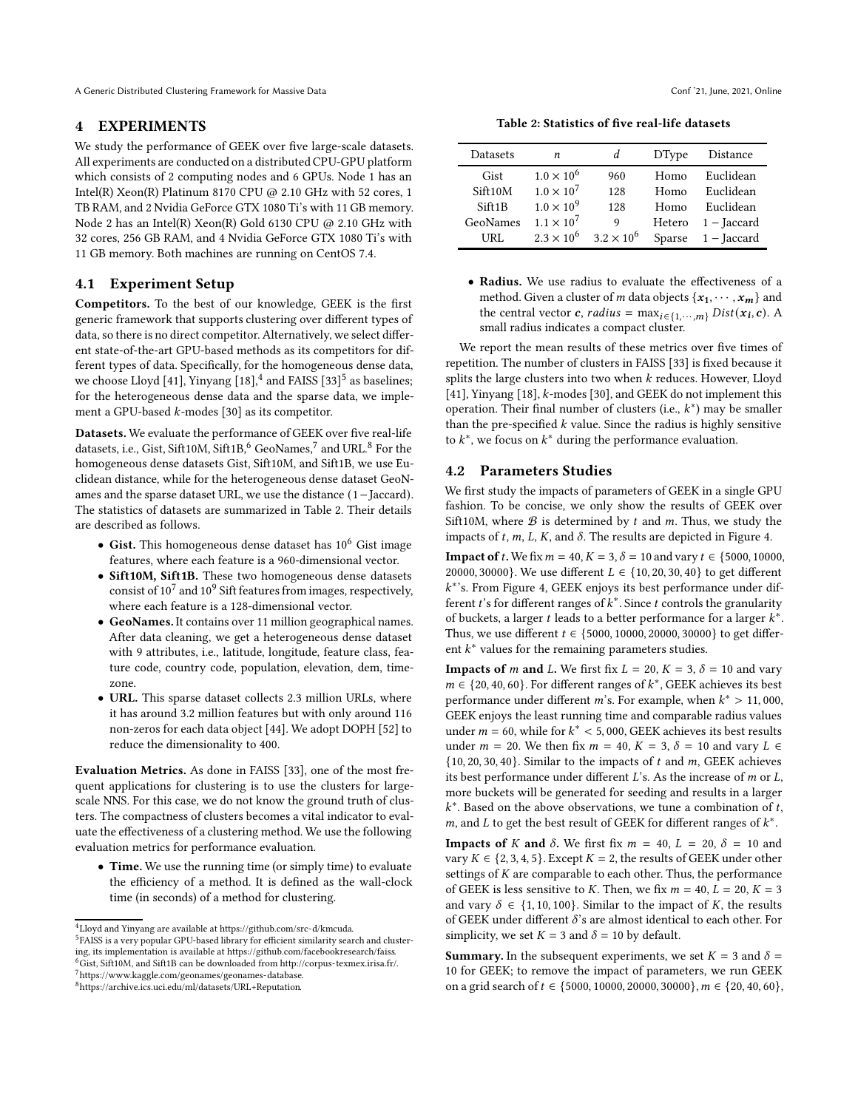A Generic Distributed Clustering Framework for Massive Data Conf '21, June, 2021, Online

## <span id="page-6-0"></span>4 EXPERIMENTS

We study the performance of GEEK over five large-scale datasets. All experiments are conducted on a distributed CPU-GPU platform which consists of 2 computing nodes and 6 GPUs. Node 1 has an Intel(R) Xeon(R) Platinum 8170 CPU  $@$  2.10 GHz with 52 cores, 1 TB RAM, and 2 Nvidia GeForce GTX 1080 Ti's with 11 GB memory. Node 2 has an Intel(R) Xeon(R) Gold 6130 CPU @ 2.10 GHz with 32 cores, 256 GB RAM, and 4 Nvidia GeForce GTX 1080 Ti's with 11 GB memory. Both machines are running on CentOS 7.4.

# 4.1 Experiment Setup

Competitors. To the best of our knowledge, GEEK is the first generic framework that supports clustering over different types of data, so there is no direct competitor. Alternatively, we select different state-of-the-art GPU-based methods as its competitors for different types of data. Specifically, for the homogeneous dense data, we choose Lloyd [\[41\]](#page-10-4), Yinyang  $[18]$ ,<sup>[4](#page-6-1)</sup> and FAISS  $[33]$ <sup>[5](#page-6-2)</sup> as baselines; for the heterogeneous dense data and the sparse data, we implement a GPU-based  $k$ -modes [\[30\]](#page-9-34) as its competitor.

Datasets. We evaluate the performance of GEEK over five real-life datasets, i.e., Gist, Sift10M, Sift1B,  $\!6}$  $\!6}$  $\!6}$  GeoNames,  $\!7}$  $\!7}$  $\!7}$  and URL.  $\!8}$  $\!8}$  $\!8}$  For the homogeneous dense datasets Gist, Sift10M, and Sift1B, we use Euclidean distance, while for the heterogeneous dense dataset GeoNames and the sparse dataset URL, we use the distance (1−Jaccard). The statistics of datasets are summarized in Table [2.](#page-6-6) Their details are described as follows.

- Gist. This homogeneous dense dataset has 10<sup>6</sup> Gist image features, where each feature is a 960-dimensional vector.
- Sift10M, Sift1B. These two homogeneous dense datasets consist of  $10^7$  and  $10^9$  Sift features from images, respectively, where each feature is a 128-dimensional vector.
- GeoNames. It contains over 11 million geographical names. After data cleaning, we get a heterogeneous dense dataset with 9 attributes, i.e., latitude, longitude, feature class, feature code, country code, population, elevation, dem, timezone.
- URL. This sparse dataset collects 2.3 million URLs, where it has around 3.2 million features but with only around 116 non-zeros for each data object [\[44\]](#page-10-17). We adopt DOPH [\[52\]](#page-10-15) to reduce the dimensionality to 400.

Evaluation Metrics. As done in FAISS [\[33\]](#page-9-7), one of the most frequent applications for clustering is to use the clusters for largescale NNS. For this case, we do not know the ground truth of clusters. The compactness of clusters becomes a vital indicator to evaluate the effectiveness of a clustering method. We use the following evaluation metrics for performance evaluation.

• Time. We use the running time (or simply time) to evaluate the efficiency of a method. It is defined as the wall-clock time (in seconds) of a method for clustering.

<span id="page-6-5"></span><span id="page-6-4"></span><sup>8</sup>[https://archive.ics.uci.edu/ml/datasets/URL+Reputation.](https://archive.ics.uci.edu/ml/datasets/URL+Reputation)

Table 2: Statistics of five real-life datasets

<span id="page-6-6"></span>

| Datasets | n                   | d                   | <b>DType</b> | Distance             |
|----------|---------------------|---------------------|--------------|----------------------|
| Gist     | $1.0 \times 10^{6}$ | 960                 | Homo         | Euclidean            |
| Sift10M  | $1.0 \times 10^{7}$ | 128                 | Homo         | Euclidean            |
| Siff1B   | $1.0 \times 10^{9}$ | 128                 | Homo         | Euclidean            |
| GeoNames | $1.1 \times 10^{7}$ | 9                   | Hetero       | 1 – Jaccard          |
| URL.     | $2.3 \times 10^{6}$ | $3.2 \times 10^{6}$ |              | Sparse $1 -$ Jaccard |

• Radius. We use radius to evaluate the effectiveness of a method. Given a cluster of  $m$  data objects  $\{x_1, \cdots, x_m\}$  and the central vector *c*, *radius* =  $\max_{i \in \{1, \cdots, m\}} Dist(x_i, c)$ . A small radius indicates a compact cluster.

We report the mean results of these metrics over five times of repetition. The number of clusters in FAISS [\[33\]](#page-9-7) is fixed because it splits the large clusters into two when  $k$  reduces. However, Lloyd [\[41\]](#page-10-4), Yinyang [\[18\]](#page-9-12),  $k$ -modes [\[30](#page-9-34)], and GEEK do not implement this operation. Their final number of clusters (i.e.,  $k^*$ ) may be smaller than the pre-specified  $k$  value. Since the radius is highly sensitive to  $k^*$ , we focus on  $k^*$  during the performance evaluation.

### 4.2 Parameters Studies

We first study the impacts of parameters of GEEK in a single GPU fashion. To be concise, we only show the results of GEEK over Sift10M, where  $\mathcal B$  is determined by  $t$  and  $m$ . Thus, we study the impacts of  $t$ ,  $m$ ,  $L$ ,  $K$ , and  $\delta$ . The results are depicted in Figure [4.](#page-7-0)

**Impact of** *t*. We fix  $m = 40$ ,  $K = 3$ ,  $\delta = 10$  and vary  $t \in \{5000, 10000,$ 20000, 30000}. We use different  $L \in \{10, 20, 30, 40\}$  to get different  $k^*$ 's. From Figure [4,](#page-7-0) GEEK enjoys its best performance under different  $t$ 's for different ranges of  $k^*$ . Since  $t$  controls the granularity of buckets, a larger  $t$  leads to a better performance for a larger  $k^*$ . Thus, we use different  $t \in \{5000, 10000, 20000, 30000\}$  to get different  $k^*$  values for the remaining parameters studies.

**Impacts of m and L.** We first fix  $L = 20$ ,  $K = 3$ ,  $\delta = 10$  and vary  $m \in \{20, 40, 60\}$ . For different ranges of  $k^*$ , GEEK achieves its best performance under different *m*'s. For example, when  $k^* > 11,000$ , GEEK enjoys the least running time and comparable radius values under  $m = 60$ , while for  $k^* < 5,000$ , GEEK achieves its best results under  $m = 20$ . We then fix  $m = 40$ ,  $K = 3$ ,  $\delta = 10$  and vary  $L \in$  $\{10, 20, 30, 40\}$ . Similar to the impacts of t and m, GEEK achieves its best performance under different  $L$ 's. As the increase of  $m$  or  $L$ , more buckets will be generated for seeding and results in a larger  $k^*$ . Based on the above observations, we tune a combination of  $t$ , *m*, and *L* to get the best result of GEEK for different ranges of  $k^*$ .

**Impacts of K and**  $\delta$ **.** We first fix  $m = 40$ ,  $L = 20$ ,  $\delta = 10$  and vary  $K \in \{2, 3, 4, 5\}$ . Except  $K = 2$ , the results of GEEK under other settings of  $K$  are comparable to each other. Thus, the performance of GEEK is less sensitive to K. Then, we fix  $m = 40, L = 20, K = 3$ and vary  $\delta \in \{1, 10, 100\}$ . Similar to the impact of K, the results of GEEK under different  $\delta$ 's are almost identical to each other. For simplicity, we set  $K = 3$  and  $\delta = 10$  by default.

**Summary.** In the subsequent experiments, we set  $K = 3$  and  $\delta =$ 10 for GEEK; to remove the impact of parameters, we run GEEK on a grid search of  $t \in \{5000, 10000, 20000, 30000\}$ ,  $m \in \{20, 40, 60\}$ ,

<span id="page-6-2"></span><span id="page-6-1"></span><sup>4</sup>Lloyd and Yinyang are available at [https://github.com/src-d/kmcuda.](https://github.com/src-d/kmcuda) <sup>5</sup>FAISS is a very popular GPU-based library for efficient similarity search and clustering, its implementation is available at [https://github.com/facebookresearch/faiss.](https://github.com/facebookresearch/faiss)  $^6$ Gist, Sift10M, and Sift1B can be downloaded from [http://corpus-texmex.irisa.fr/.](http://corpus-texmex.irisa.fr/)

<span id="page-6-3"></span><sup>7</sup>[https://www.kaggle.com/geonames/geonames-database.](https://www.kaggle.com/geonames/geonames-database)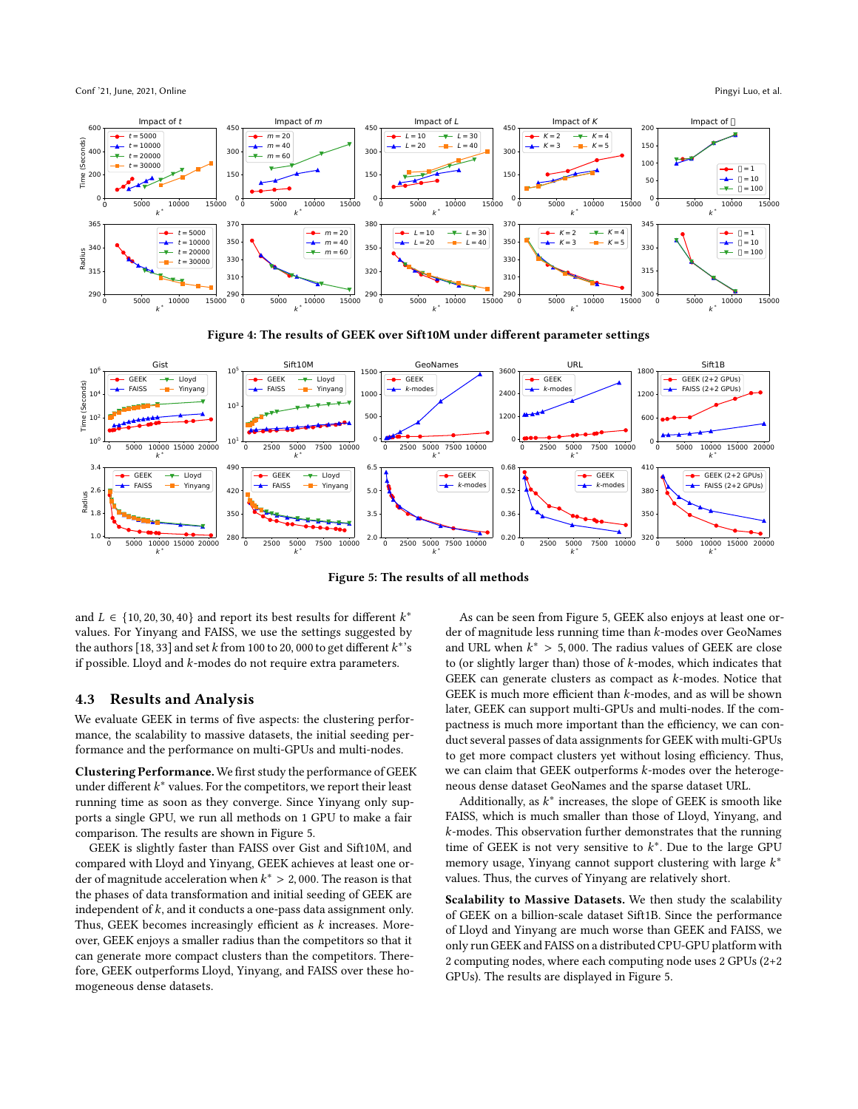<span id="page-7-0"></span>Conf '21, June, 2021, Online Pingyi Luo, et al. and the Pingyi Luo, et al. and the Pingyi Luo, et al.



Figure 4: The results of GEEK over Sift10M under different parameter settings

<span id="page-7-1"></span>

Figure 5: The results of all methods

and  $L \in \{10, 20, 30, 40\}$  and report its best results for different  $k^*$ values. For Yinyang and FAISS, we use the settings suggested by the authors  $[18, 33]$  $[18, 33]$  and set  $k$  from 100 to 20, 000 to get different  $k^*$ 's if possible. Lloyd and  $k$ -modes do not require extra parameters.

# 4.3 Results and Analysis

We evaluate GEEK in terms of five aspects: the clustering performance, the scalability to massive datasets, the initial seeding performance and the performance on multi-GPUs and multi-nodes.

Clustering Performance.We first study the performance of GEEK under different  $k^*$  values. For the competitors, we report their least running time as soon as they converge. Since Yinyang only supports a single GPU, we run all methods on 1 GPU to make a fair comparison. The results are shown in Figure [5.](#page-7-1)

GEEK is slightly faster than FAISS over Gist and Sift10M, and compared with Lloyd and Yinyang, GEEK achieves at least one order of magnitude acceleration when  $k^* > 2,000$ . The reason is that the phases of data transformation and initial seeding of GEEK are independent of  $k$ , and it conducts a one-pass data assignment only. Thus, GEEK becomes increasingly efficient as  $k$  increases. Moreover, GEEK enjoys a smaller radius than the competitors so that it can generate more compact clusters than the competitors. Therefore, GEEK outperforms Lloyd, Yinyang, and FAISS over these homogeneous dense datasets.

As can be seen from Figure [5,](#page-7-1) GEEK also enjoys at least one order of magnitude less running time than  $k$ -modes over GeoNames and URL when  $k^* > 5,000$ . The radius values of GEEK are close to (or slightly larger than) those of  $k$ -modes, which indicates that GEEK can generate clusters as compact as  $k$ -modes. Notice that GEEK is much more efficient than  $k$ -modes, and as will be shown later, GEEK can support multi-GPUs and multi-nodes. If the compactness is much more important than the efficiency, we can conduct several passes of data assignments for GEEK with multi-GPUs to get more compact clusters yet without losing efficiency. Thus, we can claim that GEEK outperforms  $k$ -modes over the heterogeneous dense dataset GeoNames and the sparse dataset URL.

Additionally, as  $k^*$  increases, the slope of GEEK is smooth like FAISS, which is much smaller than those of Lloyd, Yinyang, and  $k$ -modes. This observation further demonstrates that the running time of GEEK is not very sensitive to  $k^*$ . Due to the large GPU memory usage, Yinyang cannot support clustering with large  $k^*$ values. Thus, the curves of Yinyang are relatively short.

Scalability to Massive Datasets. We then study the scalability of GEEK on a billion-scale dataset Sift1B. Since the performance of Lloyd and Yinyang are much worse than GEEK and FAISS, we only run GEEK and FAISS on a distributed CPU-GPU platform with 2 computing nodes, where each computing node uses 2 GPUs (2+2 GPUs). The results are displayed in Figure [5.](#page-7-1)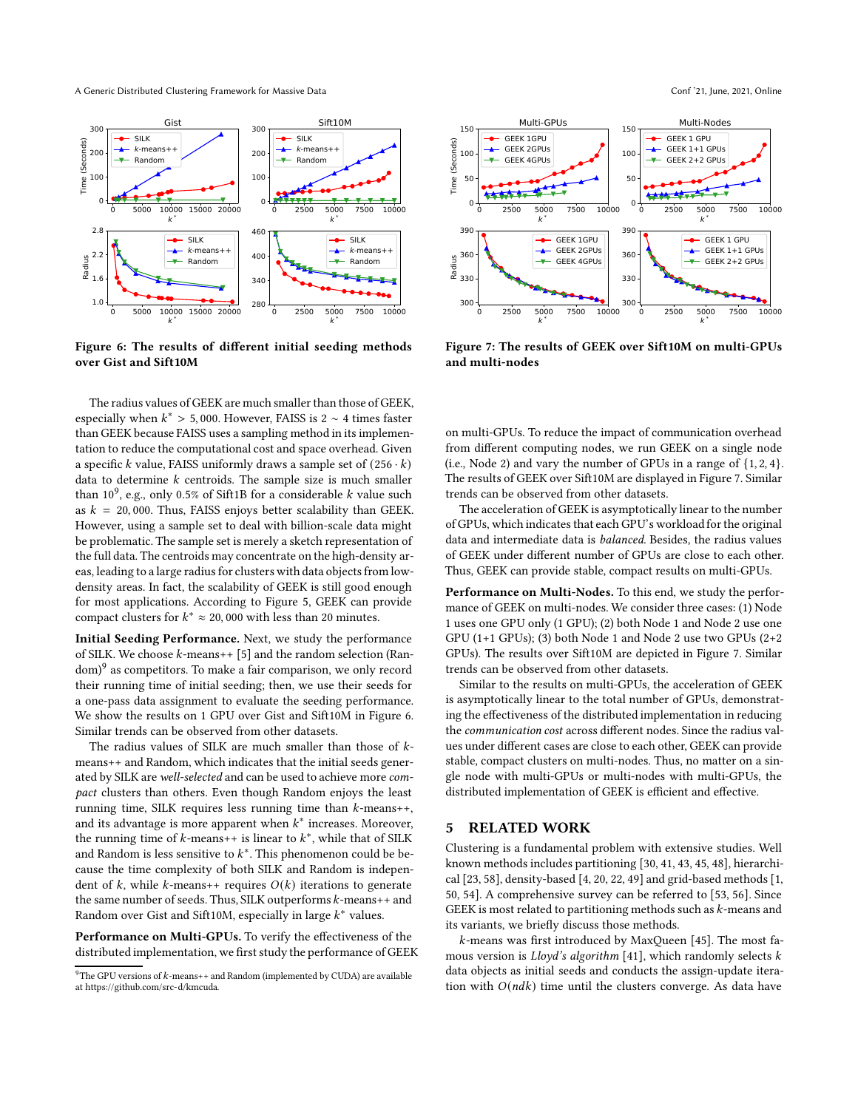<span id="page-8-2"></span>A Generic Distributed Clustering Framework for Massive Data Conf '21, June, 2021, Online



Figure 6: The results of different initial seeding methods over Gist and Sift10M

The radius values of GEEK are much smaller than those of GEEK, especially when  $k^* > 5,000$ . However, FAISS is 2 ~ 4 times faster than GEEK because FAISS uses a sampling method in its implementation to reduce the computational cost and space overhead. Given a specific k value, FAISS uniformly draws a sample set of  $(256 \cdot k)$ data to determine  $k$  centroids. The sample size is much smaller than  $10^9$ , e.g., only 0.5% of Sift1B for a considerable  $k$  value such as  $k = 20,000$ . Thus, FAISS enjoys better scalability than GEEK. However, using a sample set to deal with billion-scale data might be problematic. The sample set is merely a sketch representation of the full data. The centroids may concentrate on the high-density areas, leading to a large radius for clusters with data objects from lowdensity areas. In fact, the scalability of GEEK is still good enough for most applications. According to Figure [5,](#page-7-1) GEEK can provide compact clusters for  $k^* \approx 20,000$  with less than 20 minutes.

Initial Seeding Performance. Next, we study the performance of SILK. We choose  $k$ -means++ [\[5](#page-9-8)] and the random selection (Ran-dom)<sup>[9](#page-8-1)</sup> as competitors. To make a fair comparison, we only record their running time of initial seeding; then, we use their seeds for a one-pass data assignment to evaluate the seeding performance. We show the results on 1 GPU over Gist and Sift10M in Figure [6.](#page-8-2) Similar trends can be observed from other datasets.

The radius values of SILK are much smaller than those of  $k$ means++ and Random, which indicates that the initial seeds generated by SILK are well-selected and can be used to achieve more compact clusters than others. Even though Random enjoys the least running time, SILK requires less running time than  $k$ -means++, and its advantage is more apparent when  $k^*$  increases. Moreover, the running time of  $k$ -means++ is linear to  $k^*$ , while that of SILK and Random is less sensitive to  $k^*$ . This phenomenon could be because the time complexity of both SILK and Random is independent of  $k$ , while  $k$ -means++ requires  $O(k)$  iterations to generate the same number of seeds. Thus, SILK outperforms  $k$ -means++ and Random over Gist and Sift10M, especially in large  $k^*$  values.

Performance on Multi-GPUs. To verify the effectiveness of the distributed implementation, we first study the performance of GEEK

<span id="page-8-3"></span>

Figure 7: The results of GEEK over Sift10M on multi-GPUs and multi-nodes

on multi-GPUs. To reduce the impact of communication overhead from different computing nodes, we run GEEK on a single node (i.e., Node 2) and vary the number of GPUs in a range of  $\{1, 2, 4\}$ . The results of GEEK over Sift10M are displayed in Figure [7.](#page-8-3) Similar trends can be observed from other datasets.

The acceleration of GEEK is asymptotically linear to the number of GPUs, which indicates that each GPU's workload for the original data and intermediate data is balanced. Besides, the radius values of GEEK under different number of GPUs are close to each other. Thus, GEEK can provide stable, compact results on multi-GPUs.

Performance on Multi-Nodes. To this end, we study the performance of GEEK on multi-nodes. We consider three cases: (1) Node 1 uses one GPU only (1 GPU); (2) both Node 1 and Node 2 use one GPU (1+1 GPUs); (3) both Node 1 and Node 2 use two GPUs (2+2 GPUs). The results over Sift10M are depicted in Figure [7.](#page-8-3) Similar trends can be observed from other datasets.

Similar to the results on multi-GPUs, the acceleration of GEEK is asymptotically linear to the total number of GPUs, demonstrating the effectiveness of the distributed implementation in reducing the communication cost across different nodes. Since the radius values under different cases are close to each other, GEEK can provide stable, compact clusters on multi-nodes. Thus, no matter on a single node with multi-GPUs or multi-nodes with multi-GPUs, the distributed implementation of GEEK is efficient and effective.

# <span id="page-8-0"></span>5 RELATED WORK

Clustering is a fundamental problem with extensive studies. Well known methods includes partitioning [\[30,](#page-9-34) [41](#page-10-4), [43](#page-10-18), [45](#page-10-19), [48\]](#page-10-20), hierarchical [\[23,](#page-9-1) [58\]](#page-10-1), density-based [\[4](#page-9-2), [20](#page-9-3), [22](#page-9-4), [49](#page-10-16)] and grid-based methods [\[1](#page-9-5), [50](#page-10-21), [54](#page-10-2)]. A comprehensive survey can be referred to [\[53,](#page-10-3) [56](#page-10-22)]. Since GEEK is most related to partitioning methods such as  $k$ -means and its variants, we briefly discuss those methods.

 $k$ -means was first introduced by MaxQueen [\[45\]](#page-10-19). The most famous version is  $Lloyd's algorithm [41]$  $Lloyd's algorithm [41]$ , which randomly selects  $k$ data objects as initial seeds and conducts the assign-update iteration with  $O(ndk)$  time until the clusters converge. As data have

<span id="page-8-1"></span> $9$ The GPU versions of  $k$ -means++ and Random (implemented by CUDA) are available at [https://github.com/src-d/kmcuda.](https://github.com/src-d/kmcuda)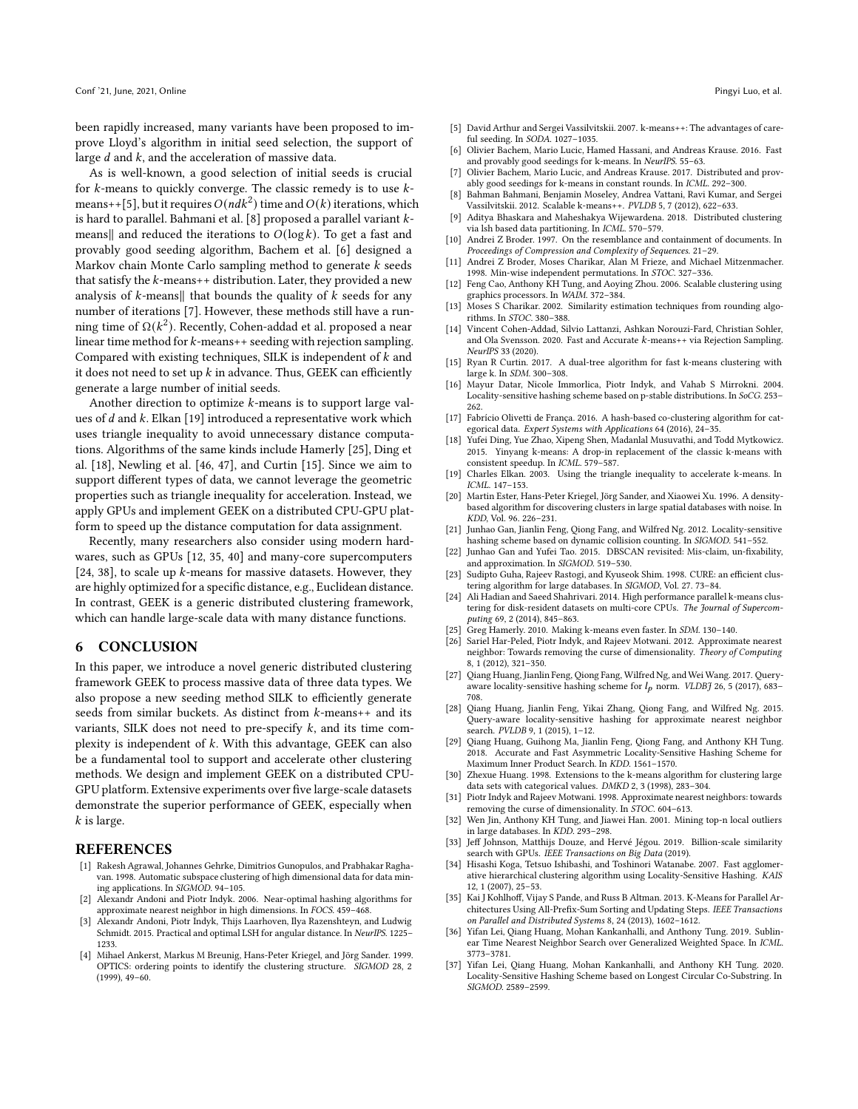been rapidly increased, many variants have been proposed to improve Lloyd's algorithm in initial seed selection, the support of large  $d$  and  $k$ , and the acceleration of massive data.

As is well-known, a good selection of initial seeds is crucial for  $k$ -means to quickly converge. The classic remedy is to use  $k$ -means++[\[5](#page-9-8)], but it requires  $O(ndk^2)$  time and  $O(k)$  iterations, which is hard to parallel. Bahmani et al. [\[8\]](#page-9-9) proposed a parallel variant  $k$ means|| and reduced the iterations to  $O(\log k)$ . To get a fast and provably good seeding algorithm, Bachem et al. [\[6](#page-9-35)] designed a Markov chain Monte Carlo sampling method to generate  $k$  seeds that satisfy the  $k$ -means++ distribution. Later, they provided a new analysis of  $k$ -means|| that bounds the quality of  $k$  seeds for any number of iterations [\[7\]](#page-9-0). However, these methods still have a running time of Ω( $k^2$ ). Recently, Cohen-addad et al. proposed a near linear time method for  $k$ -means++ seeding with rejection sampling. Compared with existing techniques, SILK is independent of  $k$  and it does not need to set up  $k$  in advance. Thus, GEEK can efficiently generate a large number of initial seeds.

Another direction to optimize  $k$ -means is to support large values of  $d$  and  $k$ . Elkan [\[19\]](#page-9-13) introduced a representative work which uses triangle inequality to avoid unnecessary distance computations. Algorithms of the same kinds include Hamerly [\[25\]](#page-9-14), Ding et al. [\[18\]](#page-9-12), Newling et al. [\[46,](#page-10-23) [47\]](#page-10-5), and Curtin [\[15\]](#page-9-11). Since we aim to support different types of data, we cannot leverage the geometric properties such as triangle inequality for acceleration. Instead, we apply GPUs and implement GEEK on a distributed CPU-GPU platform to speed up the distance computation for data assignment.

Recently, many researchers also consider using modern hardwares, such as GPUs [\[12,](#page-9-15) [35,](#page-9-36) [40\]](#page-10-7) and many-core supercomputers [\[24](#page-9-37), [38](#page-10-6)], to scale up  $k$ -means for massive datasets. However, they are highly optimized for a specific distance, e.g., Euclidean distance. In contrast, GEEK is a generic distributed clustering framework, which can handle large-scale data with many distance functions.

# <span id="page-9-30"></span>6 CONCLUSION

In this paper, we introduce a novel generic distributed clustering framework GEEK to process massive data of three data types. We also propose a new seeding method SILK to efficiently generate seeds from similar buckets. As distinct from  $k$ -means++ and its variants, SILK does not need to pre-specify  $k$ , and its time complexity is independent of  $k$ . With this advantage, GEEK can also be a fundamental tool to support and accelerate other clustering methods. We design and implement GEEK on a distributed CPU-GPU platform. Extensive experiments over five large-scale datasets demonstrate the superior performance of GEEK, especially when  $k$  is large.

#### REFERENCES

- <span id="page-9-5"></span>[1] Rakesh Agrawal, Johannes Gehrke, Dimitrios Gunopulos, and Prabhakar Raghavan. 1998. Automatic subspace clustering of high dimensional data for data mining applications. In SIGMOD. 94–105.
- <span id="page-9-18"></span>[2] Alexandr Andoni and Piotr Indyk. 2006. Near-optimal hashing algorithms for approximate nearest neighbor in high dimensions. In FOCS. 459–468.
- <span id="page-9-19"></span>[3] Alexandr Andoni, Piotr Indyk, Thijs Laarhoven, Ilya Razenshteyn, and Ludwig Schmidt. 2015. Practical and optimal LSH for angular distance. In NeurIPS. 1225– 1233.
- <span id="page-9-2"></span>[4] Mihael Ankerst, Markus M Breunig, Hans-Peter Kriegel, and Jörg Sander. 1999. OPTICS: ordering points to identify the clustering structure. SIGMOD 28, 2 (1999), 49–60.
- <span id="page-9-8"></span>[5] David Arthur and Sergei Vassilvitskii. 2007. k-means++: The advantages of careful seeding. In SODA. 1027–1035.
- <span id="page-9-35"></span>[6] Olivier Bachem, Mario Lucic, Hamed Hassani, and Andreas Krause. 2016. Fast and provably good seedings for k-means. In NeurIPS. 55-63.
- <span id="page-9-0"></span>[7] Olivier Bachem, Mario Lucic, and Andreas Krause. 2017. Distributed and provably good seedings for k-means in constant rounds. In ICML. 292–300.
- <span id="page-9-9"></span>[8] Bahman Bahmani, Benjamin Moseley, Andrea Vattani, Ravi Kumar, and Sergei Vassilvitskii. 2012. Scalable k-means++. PVLDB 5, 7 (2012), 622–633.
- <span id="page-9-28"></span>[9] Aditya Bhaskara and Maheshakya Wijewardena. 2018. Distributed clustering via lsh based data partitioning. In ICML. 570–579.
- <span id="page-9-29"></span>[10] Andrei Z Broder. 1997. On the resemblance and containment of documents. In Proceedings of Compression and Complexity of Sequences. 21–29.
- <span id="page-9-20"></span>[11] Andrei Z Broder, Moses Charikar, Alan M Frieze, and Michael Mitzenmacher. 1998. Min-wise independent permutations. In STOC. 327–336.
- <span id="page-9-15"></span>[12] Feng Cao, Anthony KH Tung, and Aoying Zhou. 2006. Scalable clustering using graphics processors. In WAIM. 372–384.
- <span id="page-9-21"></span>[13] Moses S Charikar. 2002. Similarity estimation techniques from rounding algorithms. In STOC. 380–388.
- <span id="page-9-10"></span>[14] Vincent Cohen-Addad, Silvio Lattanzi, Ashkan Norouzi-Fard, Christian Sohler, and Ola Svensson. 2020. Fast and Accurate  $k$ -means++ via Rejection Sampling. NeurIPS 33 (2020).
- <span id="page-9-11"></span>[15] Ryan R Curtin. 2017. A dual-tree algorithm for fast k-means clustering with large k. In SDM. 300–308.
- <span id="page-9-22"></span>[16] Mayur Datar, Nicole Immorlica, Piotr Indyk, and Vahab S Mirrokni. 2004. Locality-sensitive hashing scheme based on p-stable distributions. In SoCG. 253– 262.
- <span id="page-9-27"></span>[17] Fabrício Olivetti de França. 2016. A hash-based co-clustering algorithm for categorical data. Expert Systems with Applications 64 (2016), 24–35.
- <span id="page-9-12"></span>[18] Yufei Ding, Yue Zhao, Xipeng Shen, Madanlal Musuvathi, and Todd Mytkowicz. 2015. Yinyang k-means: A drop-in replacement of the classic k-means with consistent speedup. In ICML. 579–587.
- <span id="page-9-13"></span>[19] Charles Elkan. 2003. Using the triangle inequality to accelerate k-means. In ICML. 147–153.
- <span id="page-9-3"></span>[20] Martin Ester, Hans-Peter Kriegel, Jörg Sander, and Xiaowei Xu. 1996. A densitybased algorithm for discovering clusters in large spatial databases with noise. In KDD, Vol. 96. 226–231.
- <span id="page-9-33"></span>[21] Junhao Gan, Jianlin Feng, Qiong Fang, and Wilfred Ng. 2012. Locality-sensitive hashing scheme based on dynamic collision counting. In SIGMOD. 541–552.
- <span id="page-9-4"></span>[22] Junhao Gan and Yufei Tao. 2015. DBSCAN revisited: Mis-claim, un-fixability, and approximation. In SIGMOD. 519–530.
- <span id="page-9-1"></span>[23] Sudipto Guha, Rajeev Rastogi, and Kyuseok Shim. 1998. CURE: an efficient clustering algorithm for large databases. In SIGMOD, Vol. 27. 73–84.
- <span id="page-9-37"></span>[24] Ali Hadian and Saeed Shahrivari. 2014. High performance parallel k-means clustering for disk-resident datasets on multi-core CPUs. The Journal of Supercomputing 69, 2 (2014), 845–863.
- <span id="page-9-14"></span>[25] Greg Hamerly. 2010. Making k-means even faster. In SDM. 130–140.
- <span id="page-9-16"></span>[26] Sariel Har-Peled, Piotr Indyk, and Rajeev Motwani. 2012. Approximate nearest neighbor: Towards removing the curse of dimensionality. Theory of Computing 8, 1 (2012), 321–350.
- <span id="page-9-31"></span>[27] Qiang Huang, Jianlin Feng, Qiong Fang, Wilfred Ng, and Wei Wang. 2017. Queryaware locality-sensitive hashing scheme for  $l_p$  norm. VLDBJ 26, 5 (2017), 683– 708.
- <span id="page-9-32"></span>[28] Qiang Huang, Jianlin Feng, Yikai Zhang, Qiong Fang, and Wilfred Ng. 2015. Query-aware locality-sensitive hashing for approximate nearest neighbor search. PVLDB 9, 1 (2015), 1–12.
- <span id="page-9-23"></span>[29] Qiang Huang, Guihong Ma, Jianlin Feng, Qiong Fang, and Anthony KH Tung. 2018. Accurate and Fast Asymmetric Locality-Sensitive Hashing Scheme for Maximum Inner Product Search. In KDD. 1561–1570.
- <span id="page-9-34"></span>[30] Zhexue Huang. 1998. Extensions to the k-means algorithm for clustering large data sets with categorical values. DMKD 2, 3 (1998), 283–304.
- <span id="page-9-17"></span>[31] Piotr Indyk and Rajeev Motwani. 1998. Approximate nearest neighbors: towards removing the curse of dimensionality. In STOC. 604-613.
- <span id="page-9-6"></span>[32] Wen Jin, Anthony KH Tung, and Jiawei Han. 2001. Mining top-n local outliers in large databases. In KDD. 293–298.
- <span id="page-9-7"></span>[33] Jeff Johnson, Matthijs Douze, and Hervé Jégou. 2019. Billion-scale similarity search with GPUs. IEEE Transactions on Big Data (2019).
- <span id="page-9-26"></span>[34] Hisashi Koga, Tetsuo Ishibashi, and Toshinori Watanabe. 2007. Fast agglomerative hierarchical clustering algorithm using Locality-Sensitive Hashing. KAIS 12, 1 (2007), 25–53.
- <span id="page-9-36"></span>[35] Kai J Kohlhoff, Vijay S Pande, and Russ B Altman. 2013. K-Means for Parallel Architectures Using All-Prefix-Sum Sorting and Updating Steps. IEEE Transactions on Parallel and Distributed Systems 8, 24 (2013), 1602–1612.
- <span id="page-9-24"></span>[36] Yifan Lei, Qiang Huang, Mohan Kankanhalli, and Anthony Tung. 2019. Sublinear Time Nearest Neighbor Search over Generalized Weighted Space. In ICML. 3773–3781.
- <span id="page-9-25"></span>[37] Yifan Lei, Qiang Huang, Mohan Kankanhalli, and Anthony KH Tung. 2020. Locality-Sensitive Hashing Scheme based on Longest Circular Co-Substring. In SIGMOD. 2589–2599.